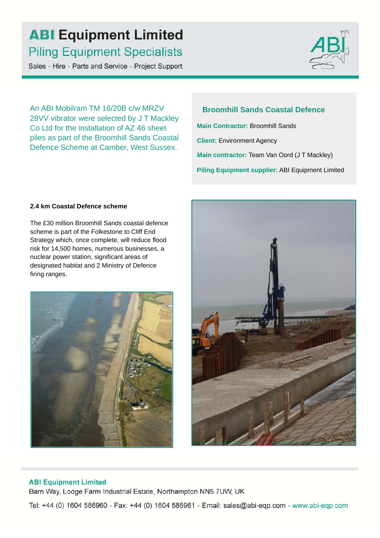# **ABI Equipment Limited Piling Equipment Specialists**

Sales - Hire - Parts and Service - Project Support



An ABI Mobilram TM 16/20B c/w MRZV 28VV vibrator were selected by J T Mackley Co Ltd for the installation of AZ 46 sheet piles as part of the Broomhill Sands Coastal Defence Scheme at Camber, West Sussex.

**Broomhill Sands Coastal Defence Main Contractor:** Broomhill Sands **Client:** Environment Agency **Main contractor:** Team Van Oord (J T Mackley) **Piling Equipment supplier:** ABI Equipment Limited

#### **2.4 km Coastal Defence scheme**

The £30 million Broomhill Sands coastal defence scheme is part of the Folkestone to Cliff End Strategy which, once complete, will reduce flood risk for 14,500 homes, numerous businesses, a nuclear power station, significant areas of designated habitat and 2 Ministry of Defence firing ranges.





### **ABI Equipment Limited**

Barn Way, Lodge Farm Industrial Estate, Northampton NN5 7UW, UK

Tel: +44 (0) 1604 586960 - Fax: +44 (0) 1604 586961 - Email: sales@abi-eqp.com - www.abi-eqp.com